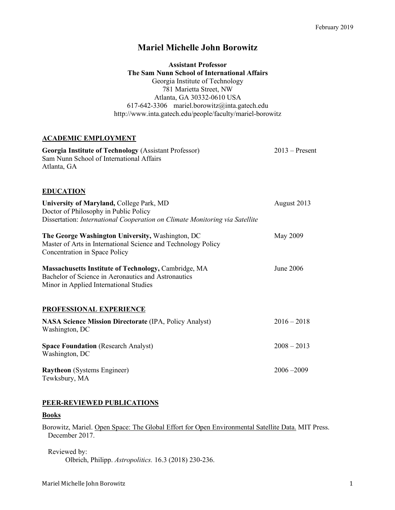# **Mariel Michelle John Borowitz**

**Assistant Professor The Sam Nunn School of International Affairs** Georgia Institute of Technology 781 Marietta Street, NW Atlanta, GA 30332-0610 USA 617-642-3306 mariel.borowitz@inta.gatech.edu http://www.inta.gatech.edu/people/faculty/mariel-borowitz

### **ACADEMIC EMPLOYMENT**

| <b>Georgia Institute of Technology (Assistant Professor)</b> | $2013 -$ Present |
|--------------------------------------------------------------|------------------|
| Sam Nunn School of International Affairs                     |                  |
| Atlanta, GA                                                  |                  |

### **EDUCATION**

| August 2013      |
|------------------|
|                  |
|                  |
| May 2009         |
|                  |
|                  |
|                  |
| <b>June 2006</b> |
|                  |
|                  |
|                  |
|                  |
|                  |
| $2016 - 2018$    |
|                  |
|                  |
| $2008 - 2013$    |
|                  |
|                  |
| $2006 - 2009$    |
|                  |
|                  |

### **PEER-REVIEWED PUBLICATIONS**

## **Books**

Borowitz, Mariel. Open Space: The Global Effort for Open Environmental Satellite Data. MIT Press. December 2017.

Reviewed by: Olbrich, Philipp. *Astropolitics.* 16.3 (2018) 230-236.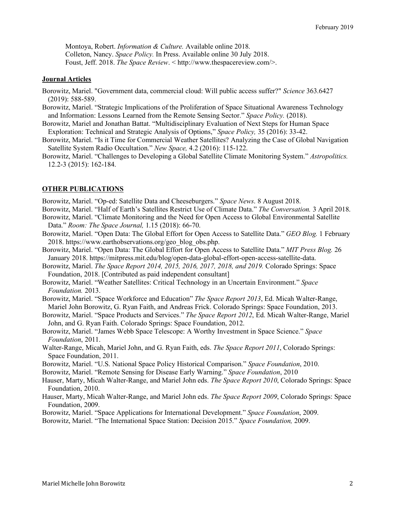Montoya, Robert. *Information & Culture.* Available online 2018. Colleton, Nancy. *Space Policy.* In Press. Available online 30 July 2018. Foust, Jeff. 2018. *The Space Review*. < http://www.thespacereview.com/>.

### **Journal Articles**

- Borowitz, Mariel. "Government data, commercial cloud: Will public access suffer?" *Science* 363.6427 (2019): 588-589.
- Borowitz, Mariel. "Strategic Implications of the Proliferation of Space Situational Awareness Technology and Information: Lessons Learned from the Remote Sensing Sector." *Space Policy.* (2018).
- Borowitz, Mariel and Jonathan Battat. "Multidisciplinary Evaluation of Next Steps for Human Space Exploration: Technical and Strategic Analysis of Options," *Space Policy,* 35 (2016): 33-42.
- Borowitz, Mariel. "Is it Time for Commercial Weather Satellites? Analyzing the Case of Global Navigation Satellite System Radio Occultation." *New Space,* 4.2 (2016): 115-122.
- Borowitz, Mariel. "Challenges to Developing a Global Satellite Climate Monitoring System." *Astropolitics.* 12.2-3 (2015): 162-184.

### **OTHER PUBLICATIONS**

Borowitz, Mariel. "Op-ed: Satellite Data and Cheeseburgers." *Space News*. 8 August 2018.

- Borowitz, Mariel. "Half of Earth's Satellites Restrict Use of Climate Data." *The Conversation.* 3 April 2018.
- Borowitz, Mariel. "Climate Monitoring and the Need for Open Access to Global Environmental Satellite Data." *Room: The Space Journal,* 1.15 (2018): 66-70.
- Borowitz, Mariel. "Open Data: The Global Effort for Open Access to Satellite Data." *GEO Blog.* 1 February 2018. https://www.earthobservations.org/geo\_blog\_obs.php.
- Borowitz, Mariel. "Open Data: The Global Effort for Open Access to Satellite Data." *MIT Press Blog.* 26 January 2018. https://mitpress.mit.edu/blog/open-data-global-effort-open-access-satellite-data.
- Borowitz, Mariel. *The Space Report 2014, 2015, 2016, 2017, 2018, and 2019.* Colorado Springs: Space Foundation, 2018. [Contributed as paid independent consultant]
- Borowitz, Mariel. "Weather Satellites: Critical Technology in an Uncertain Environment." *Space Foundation.* 2013.
- Borowitz, Mariel. "Space Workforce and Education" *The Space Report 2013*, Ed. Micah Walter-Range, Mariel John Borowitz, G. Ryan Faith, and Andreas Frick. Colorado Springs: Space Foundation, 2013.
- Borowitz, Mariel. "Space Products and Services." *The Space Report 2012*, Ed. Micah Walter-Range, Mariel John, and G. Ryan Faith. Colorado Springs: Space Foundation, 2012.
- Borowitz, Mariel. "James Webb Space Telescope: A Worthy Investment in Space Science." *Space Foundation*, 2011.
- Walter-Range, Micah, Mariel John, and G. Ryan Faith, eds. *The Space Report 2011*, Colorado Springs: Space Foundation, 2011.
- Borowitz, Mariel. "U.S. National Space Policy Historical Comparison." *Space Foundation*, 2010.
- Borowitz, Mariel. "Remote Sensing for Disease Early Warning." *Space Foundation*, 2010
- Hauser, Marty, Micah Walter-Range, and Mariel John eds. *The Space Report 2010*, Colorado Springs: Space Foundation, 2010.
- Hauser, Marty, Micah Walter-Range, and Mariel John eds. *The Space Report 2009*, Colorado Springs: Space Foundation, 2009.
- Borowitz, Mariel. "Space Applications for International Development." *Space Foundation*, 2009.
- Borowitz, Mariel. "The International Space Station: Decision 2015." *Space Foundation,* 2009.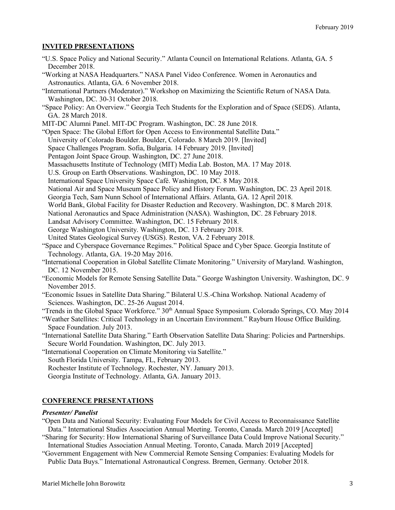## **INVITED PRESENTATIONS**

- "U.S. Space Policy and National Security." Atlanta Council on International Relations. Atlanta, GA. 5 December 2018.
- "Working at NASA Headquarters." NASA Panel Video Conference. Women in Aeronautics and Astronautics. Atlanta, GA. 6 November 2018.
- "International Partners (Moderator)." Workshop on Maximizing the Scientific Return of NASA Data. Washington, DC. 30-31 October 2018.
- "Space Policy: An Overview." Georgia Tech Students for the Exploration and of Space (SEDS). Atlanta, GA. 28 March 2018.
- MIT-DC Alumni Panel. MIT-DC Program. Washington, DC. 28 June 2018.
- "Open Space: The Global Effort for Open Access to Environmental Satellite Data."
- University of Colorado Boulder. Boulder, Colorado. 8 March 2019. [Invited]
- Space Challenges Program. Sofia, Bulgaria. 14 February 2019. [Invited]
- Pentagon Joint Space Group. Washington, DC. 27 June 2018.
- Massachusetts Institute of Technology (MIT) Media Lab. Boston, MA. 17 May 2018.
- U.S. Group on Earth Observations. Washington, DC. 10 May 2018.
- International Space University Space Café. Washington, DC. 8 May 2018.
- National Air and Space Museum Space Policy and History Forum. Washington, DC. 23 April 2018.
- Georgia Tech, Sam Nunn School of International Affairs. Atlanta, GA. 12 April 2018.
- World Bank, Global Facility for Disaster Reduction and Recovery. Washington, DC. 8 March 2018.
- National Aeronautics and Space Administration (NASA). Washington, DC. 28 February 2018.
- Landsat Advisory Committee. Washington, DC. 15 February 2018.
- George Washington University. Washington, DC. 13 February 2018.
- United States Geological Survey (USGS). Reston, VA. 2 February 2018.
- "Space and Cyberspace Governance Regimes." Political Space and Cyber Space. Georgia Institute of Technology. Atlanta, GA. 19-20 May 2016.
- "International Cooperation in Global Satellite Climate Monitoring." University of Maryland. Washington, DC. 12 November 2015.
- "Economic Models for Remote Sensing Satellite Data." George Washington University. Washington, DC. 9 November 2015.
- "Economic Issues in Satellite Data Sharing." Bilateral U.S.-China Workshop. National Academy of Sciences. Washington, DC. 25-26 August 2014.
- "Trends in the Global Space Workforce." 30<sup>th</sup> Annual Space Symposium. Colorado Springs, CO. May 2014
- "Weather Satellites: Critical Technology in an Uncertain Environment." Rayburn House Office Building. Space Foundation. July 2013.
- "International Satellite Data Sharing." Earth Observation Satellite Data Sharing: Policies and Partnerships. Secure World Foundation. Washington, DC. July 2013.
- "International Cooperation on Climate Monitoring via Satellite."
	- South Florida University. Tampa, FL, February 2013.
	- Rochester Institute of Technology. Rochester, NY. January 2013.
	- Georgia Institute of Technology. Atlanta, GA. January 2013.

### **CONFERENCE PRESENTATIONS**

#### *Presenter/ Panelist*

- "Open Data and National Security: Evaluating Four Models for Civil Access to Reconnaissance Satellite Data." International Studies Association Annual Meeting. Toronto, Canada. March 2019 [Accepted]
- "Sharing for Security: How International Sharing of Surveillance Data Could Improve National Security."
- International Studies Association Annual Meeting. Toronto, Canada. March 2019 [Accepted] "Government Engagement with New Commercial Remote Sensing Companies: Evaluating Models for
- Public Data Buys." International Astronautical Congress. Bremen, Germany. October 2018.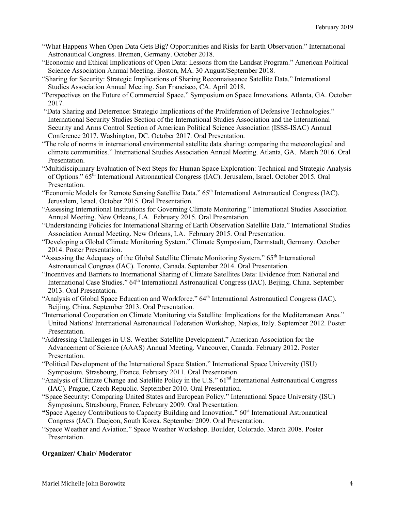- "What Happens When Open Data Gets Big? Opportunities and Risks for Earth Observation." International Astronautical Congress. Bremen, Germany. October 2018.
- "Economic and Ethical Implications of Open Data: Lessons from the Landsat Program." American Political Science Association Annual Meeting. Boston, MA. 30 August/September 2018.
- "Sharing for Security: Strategic Implications of Sharing Reconnaissance Satellite Data." International Studies Association Annual Meeting. San Francisco, CA. April 2018.
- "Perspectives on the Future of Commercial Space." Symposium on Space Innovations. Atlanta, GA. October 2017.
- "Data Sharing and Deterrence: Strategic Implications of the Proliferation of Defensive Technologies." International Security Studies Section of the International Studies Association and the International Security and Arms Control Section of American Political Science Association (ISSS-ISAC) Annual Conference 2017. Washington, DC. October 2017. Oral Presentation.
- "The role of norms in international environmental satellite data sharing: comparing the meteorological and climate communities." International Studies Association Annual Meeting. Atlanta, GA. March 2016. Oral Presentation.
- "Multidisciplinary Evaluation of Next Steps for Human Space Exploration: Technical and Strategic Analysis of Options." 65<sup>th</sup> International Astronautical Congress (IAC). Jerusalem, Israel. October 2015. Oral Presentation.
- "Economic Models for Remote Sensing Satellite Data." 65<sup>th</sup> International Astronautical Congress (IAC). Jerusalem, Israel. October 2015. Oral Presentation.
- "Assessing International Institutions for Governing Climate Monitoring." International Studies Association Annual Meeting. New Orleans, LA. February 2015. Oral Presentation.
- "Understanding Policies for International Sharing of Earth Observation Satellite Data." International Studies Association Annual Meeting. New Orleans, LA. February 2015. Oral Presentation.
- "Developing a Global Climate Monitoring System." Climate Symposium, Darmstadt, Germany. October 2014. Poster Presentation.
- "Assessing the Adequacy of the Global Satellite Climate Monitoring System." 65<sup>th</sup> International Astronautical Congress (IAC). Toronto, Canada. September 2014. Oral Presentation.
- "Incentives and Barriers to International Sharing of Climate Satellites Data: Evidence from National and International Case Studies." 64<sup>th</sup> International Astronautical Congress (IAC). Beijing, China. September 2013. Oral Presentation.
- "Analysis of Global Space Education and Workforce." 64<sup>th</sup> International Astronautical Congress (IAC). Beijing, China. September 2013. Oral Presentation.
- "International Cooperation on Climate Monitoring via Satellite: Implications for the Mediterranean Area." United Nations/ International Astronautical Federation Workshop, Naples, Italy. September 2012. Poster Presentation.
- "Addressing Challenges in U.S. Weather Satellite Development." American Association for the Advancement of Science (AAAS) Annual Meeting. Vancouver, Canada. February 2012. Poster Presentation.
- "Political Development of the International Space Station." International Space University (ISU) Symposium. Strasbourg, France. February 2011. Oral Presentation.
- "Analysis of Climate Change and Satellite Policy in the U.S." 61<sup>nd</sup> International Astronautical Congress (IAC). Prague, Czech Republic. September 2010. Oral Presentation.
- "Space Security: Comparing United States and European Policy." International Space University (ISU) Symposium**,** Strasbourg, France**,** February 2009. Oral Presentation.
- **"Space Agency Contributions to Capacity Building and Innovation." 60<sup>st</sup> International Astronautical** Congress (IAC). Daejeon, South Korea. September 2009. Oral Presentation.
- "Space Weather and Aviation." Space Weather Workshop. Boulder, Colorado. March 2008. Poster Presentation.

## **Organizer/ Chair/ Moderator**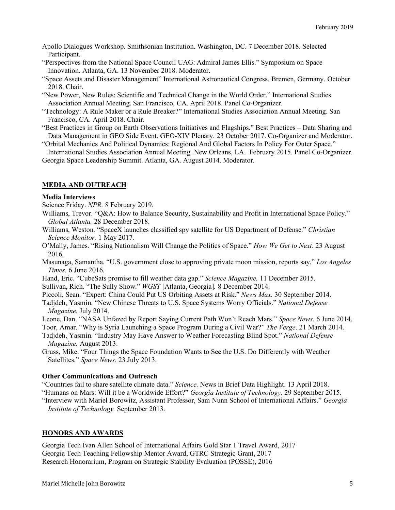- Apollo Dialogues Workshop. Smithsonian Institution. Washington, DC. 7 December 2018. Selected Participant.
- "Perspectives from the National Space Council UAG: Admiral James Ellis." Symposium on Space Innovation. Atlanta, GA. 13 November 2018. Moderator.
- "Space Assets and Disaster Management" International Astronautical Congress. Bremen, Germany. October 2018. Chair.
- "New Power, New Rules: Scientific and Technical Change in the World Order." International Studies Association Annual Meeting. San Francisco, CA. April 2018. Panel Co-Organizer.
- "Technology: A Rule Maker or a Rule Breaker?" International Studies Association Annual Meeting. San Francisco, CA. April 2018. Chair.
- "Best Practices in Group on Earth Observations Initiatives and Flagships." Best Practices Data Sharing and Data Management in GEO Side Event. GEO-XIV Plenary. 23 October 2017. Co-Organizer and Moderator.

"Orbital Mechanics And Political Dynamics: Regional And Global Factors In Policy For Outer Space."

International Studies Association Annual Meeting. New Orleans, LA. February 2015. Panel Co-Organizer. Georgia Space Leadership Summit. Atlanta, GA. August 2014. Moderator.

### **MEDIA AND OUTREACH**

### **Media Interviews**

Science Friday. *NPR.* 8 February 2019.

- Williams, Trevor. "O&A: How to Balance Security, Sustainability and Profit in International Space Policy." *Global Atlanta.* 28 December 2018.
- Williams, Weston. "SpaceX launches classified spy satellite for US Department of Defense." *Christian Science Monitor.* 1 May 2017.
- O'Mally, James. "Rising Nationalism Will Change the Politics of Space." *How We Get to Next.* 23 August 2016.
- Masunaga, Samantha. "U.S. government close to approving private moon mission, reports say." *Los Angeles Times.* 6 June 2016.
- Hand, Eric. "CubeSats promise to fill weather data gap." *Science Magazine.* 11 December 2015.

Sullivan, Rich. "The Sully Show." *WGST* [Atlanta, Georgia]*.* 8 December 2014.

Piccoli, Sean. "Expert: China Could Put US Orbiting Assets at Risk." *News Max.* 30 September 2014.

Tadjdeh, Yasmin. "New Chinese Threats to U.S. Space Systems Worry Officials." *National Defense Magazine.* July 2014.

Leone, Dan. "NASA Unfazed by Report Saying Current Path Won't Reach Mars." *Space News.* 6 June 2014.

Toor, Amar. "Why is Syria Launching a Space Program During a Civil War?" *The Verge*. 21 March 2014.

Tadjdeh, Yasmin. "Industry May Have Answer to Weather Forecasting Blind Spot." *National Defense Magazine.* August 2013.

Gruss, Mike. "Four Things the Space Foundation Wants to See the U.S. Do Differently with Weather Satellites." *Space News.* 23 July 2013.

### **Other Communications and Outreach**

- "Countries fail to share satellite climate data." *Science.* News in Brief Data Highlight. 13 April 2018.
- "Humans on Mars: Will it be a Worldwide Effort?" *Georgia Institute of Technology.* 29 September 2015.

"Interview with Mariel Borowitz, Assistant Professor, Sam Nunn School of International Affairs." *Georgia Institute of Technology.* September 2013.

### **HONORS AND AWARDS**

Georgia Tech Ivan Allen School of International Affairs Gold Star 1 Travel Award, 2017 Georgia Tech Teaching Fellowship Mentor Award, GTRC Strategic Grant, 2017 Research Honorarium, Program on Strategic Stability Evaluation (POSSE), 2016